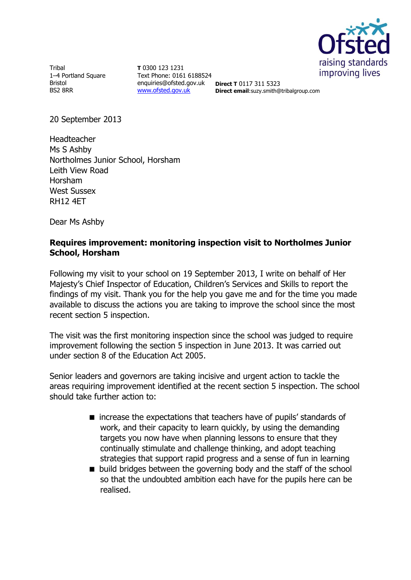

**Tribal** 1–4 Portland Square Bristol BS2 8RR

**T** 0300 123 1231 Text Phone: 0161 6188524 enquiries@ofsted.gov.uk **Direct T** 0117 311 5323 [www.ofsted.gov.uk](http://www.ofsted.gov.uk/)

**Direct email**:suzy.smith@tribalgroup.com

20 September 2013

Headteacher Ms S Ashby Northolmes Junior School, Horsham Leith View Road Horsham West Sussex RH12 4ET

Dear Ms Ashby

## **Requires improvement: monitoring inspection visit to Northolmes Junior School, Horsham**

Following my visit to your school on 19 September 2013, I write on behalf of Her Majesty's Chief Inspector of Education, Children's Services and Skills to report the findings of my visit. Thank you for the help you gave me and for the time you made available to discuss the actions you are taking to improve the school since the most recent section 5 inspection.

The visit was the first monitoring inspection since the school was judged to require improvement following the section 5 inspection in June 2013. It was carried out under section 8 of the Education Act 2005.

Senior leaders and governors are taking incisive and urgent action to tackle the areas requiring improvement identified at the recent section 5 inspection. The school should take further action to:

- increase the expectations that teachers have of pupils' standards of work, and their capacity to learn quickly, by using the demanding targets you now have when planning lessons to ensure that they continually stimulate and challenge thinking, and adopt teaching strategies that support rapid progress and a sense of fun in learning
- $\blacksquare$  build bridges between the governing body and the staff of the school so that the undoubted ambition each have for the pupils here can be realised.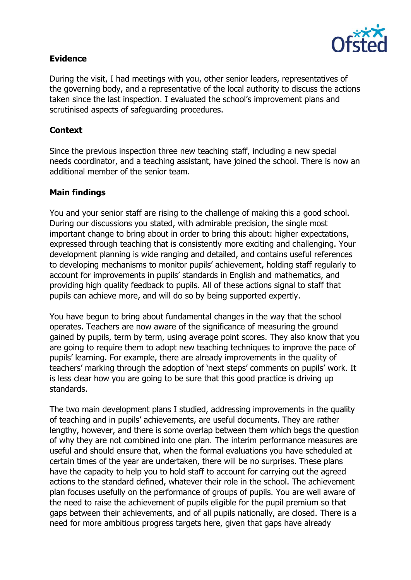

# **Evidence**

During the visit, I had meetings with you, other senior leaders, representatives of the governing body, and a representative of the local authority to discuss the actions taken since the last inspection. I evaluated the school's improvement plans and scrutinised aspects of safeguarding procedures.

## **Context**

Since the previous inspection three new teaching staff, including a new special needs coordinator, and a teaching assistant, have joined the school. There is now an additional member of the senior team.

## **Main findings**

You and your senior staff are rising to the challenge of making this a good school. During our discussions you stated, with admirable precision, the single most important change to bring about in order to bring this about: higher expectations, expressed through teaching that is consistently more exciting and challenging. Your development planning is wide ranging and detailed, and contains useful references to developing mechanisms to monitor pupils' achievement, holding staff regularly to account for improvements in pupils' standards in English and mathematics, and providing high quality feedback to pupils. All of these actions signal to staff that pupils can achieve more, and will do so by being supported expertly.

You have begun to bring about fundamental changes in the way that the school operates. Teachers are now aware of the significance of measuring the ground gained by pupils, term by term, using average point scores. They also know that you are going to require them to adopt new teaching techniques to improve the pace of pupils' learning. For example, there are already improvements in the quality of teachers' marking through the adoption of 'next steps' comments on pupils' work. It is less clear how you are going to be sure that this good practice is driving up standards.

The two main development plans I studied, addressing improvements in the quality of teaching and in pupils' achievements, are useful documents. They are rather lengthy, however, and there is some overlap between them which begs the question of why they are not combined into one plan. The interim performance measures are useful and should ensure that, when the formal evaluations you have scheduled at certain times of the year are undertaken, there will be no surprises. These plans have the capacity to help you to hold staff to account for carrying out the agreed actions to the standard defined, whatever their role in the school. The achievement plan focuses usefully on the performance of groups of pupils. You are well aware of the need to raise the achievement of pupils eligible for the pupil premium so that gaps between their achievements, and of all pupils nationally, are closed. There is a need for more ambitious progress targets here, given that gaps have already